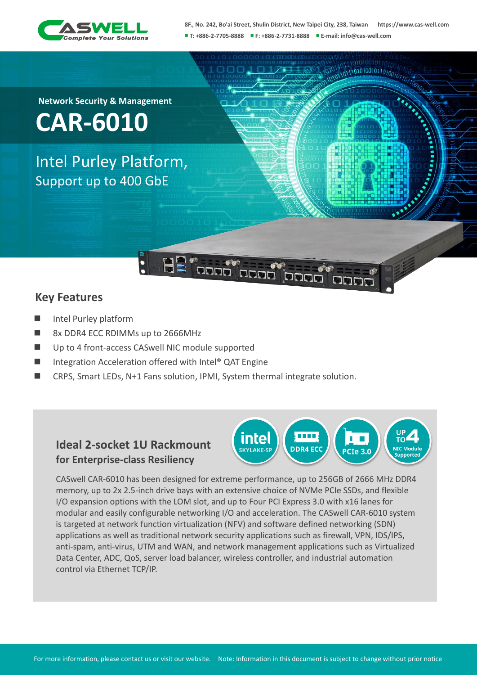

0101001011

**Network Security & Management**

**CAR-6010**

Intel Purley Platform, Support up to 400 GbE

## **Key Features**

- Intel Purley platform
- 8x DDR4 ECC RDIMMs up to 2666MHz
- Up to 4 front-access CASwell NIC module supported
- Integration Acceleration offered with Intel® QAT Engine
- CRPS, Smart LEDs, N+1 Fans solution, IPMI, System thermal integrate solution.

## **Ideal 2-socket 1U Rackmount for Enterprise-class Resiliency**



CASwell CAR-6010 has been designed for extreme performance, up to 256GB of 2666 MHz DDR4 memory, up to 2x 2.5-inch drive bays with an extensive choice of NVMe PCIe SSDs, and flexible I/O expansion options with the LOM slot, and up to Four PCI Express 3.0 with x16 lanes for modular and easily configurable networking I/O and acceleration. The CASwell CAR-6010 system is targeted at network function virtualization (NFV) and software defined networking (SDN) applications as well as traditional network security applications such as firewall, VPN, IDS/IPS, anti-spam, anti-virus, UTM and WAN, and network management applications such as Virtualized Data Center, ADC, QoS, server load balancer, wireless controller, and industrial automation control via Ethernet TCP/IP.

For more information, please contact us or visit our website. Note: Information in this document is subject to change without prior notice